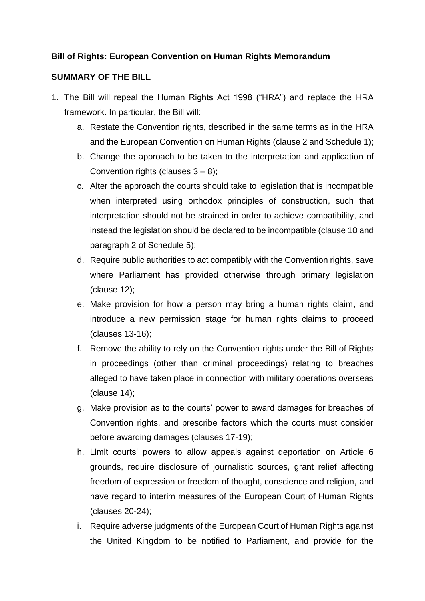### **Bill of Rights: European Convention on Human Rights Memorandum**

#### **SUMMARY OF THE BILL**

- 1. The Bill will repeal the Human Rights Act 1998 ("HRA") and replace the HRA framework. In particular, the Bill will:
	- a. Restate the Convention rights, described in the same terms as in the HRA and the European Convention on Human Rights (clause 2 and Schedule 1);
	- b. Change the approach to be taken to the interpretation and application of Convention rights (clauses  $3 - 8$ );
	- c. Alter the approach the courts should take to legislation that is incompatible when interpreted using orthodox principles of construction, such that interpretation should not be strained in order to achieve compatibility, and instead the legislation should be declared to be incompatible (clause 10 and paragraph 2 of Schedule 5);
	- d. Require public authorities to act compatibly with the Convention rights, save where Parliament has provided otherwise through primary legislation (clause 12);
	- e. Make provision for how a person may bring a human rights claim, and introduce a new permission stage for human rights claims to proceed (clauses 13-16);
	- f. Remove the ability to rely on the Convention rights under the Bill of Rights in proceedings (other than criminal proceedings) relating to breaches alleged to have taken place in connection with military operations overseas (clause 14);
	- g. Make provision as to the courts' power to award damages for breaches of Convention rights, and prescribe factors which the courts must consider before awarding damages (clauses 17-19);
	- h. Limit courts' powers to allow appeals against deportation on Article 6 grounds, require disclosure of journalistic sources, grant relief affecting freedom of expression or freedom of thought, conscience and religion, and have regard to interim measures of the European Court of Human Rights (clauses 20-24);
	- i. Require adverse judgments of the European Court of Human Rights against the United Kingdom to be notified to Parliament, and provide for the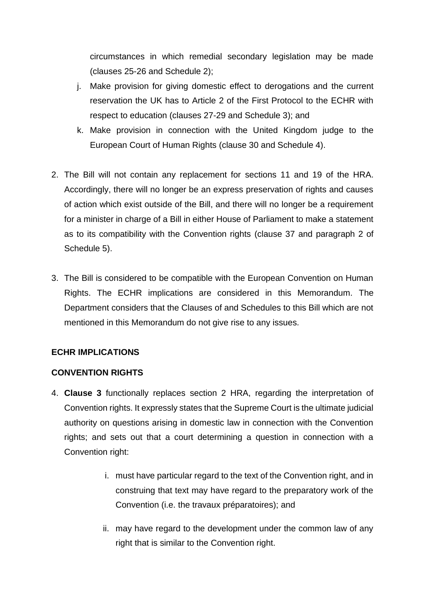circumstances in which remedial secondary legislation may be made (clauses 25-26 and Schedule 2);

- j. Make provision for giving domestic effect to derogations and the current reservation the UK has to Article 2 of the First Protocol to the ECHR with respect to education (clauses 27-29 and Schedule 3); and
- k. Make provision in connection with the United Kingdom judge to the European Court of Human Rights (clause 30 and Schedule 4).
- 2. The Bill will not contain any replacement for sections 11 and 19 of the HRA. Accordingly, there will no longer be an express preservation of rights and causes of action which exist outside of the Bill, and there will no longer be a requirement for a minister in charge of a Bill in either House of Parliament to make a statement as to its compatibility with the Convention rights (clause 37 and paragraph 2 of Schedule 5).
- 3. The Bill is considered to be compatible with the European Convention on Human Rights. The ECHR implications are considered in this Memorandum. The Department considers that the Clauses of and Schedules to this Bill which are not mentioned in this Memorandum do not give rise to any issues*.*

## **ECHR IMPLICATIONS**

#### **CONVENTION RIGHTS**

- 4. **Clause 3** functionally replaces section 2 HRA, regarding the interpretation of Convention rights. It expressly states that the Supreme Court is the ultimate judicial authority on questions arising in domestic law in connection with the Convention rights; and sets out that a court determining a question in connection with a Convention right:
	- i. must have particular regard to the text of the Convention right, and in construing that text may have regard to the preparatory work of the Convention (i.e. the travaux préparatoires); and
	- ii. may have regard to the development under the common law of any right that is similar to the Convention right.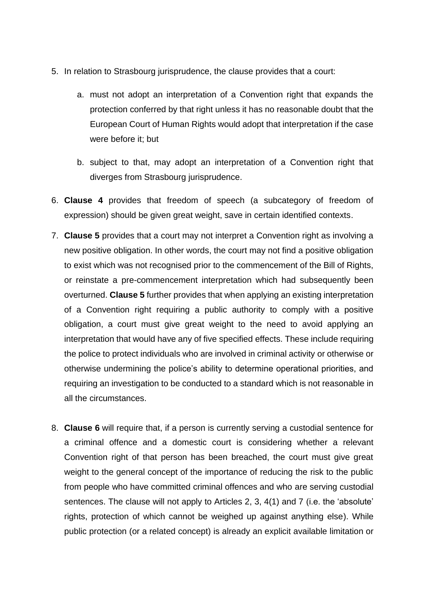- 5. In relation to Strasbourg jurisprudence, the clause provides that a court:
	- a. must not adopt an interpretation of a Convention right that expands the protection conferred by that right unless it has no reasonable doubt that the European Court of Human Rights would adopt that interpretation if the case were before it; but
	- b. subject to that, may adopt an interpretation of a Convention right that diverges from Strasbourg jurisprudence.
- 6. **Clause 4** provides that freedom of speech (a subcategory of freedom of expression) should be given great weight, save in certain identified contexts.
- 7. **Clause 5** provides that a court may not interpret a Convention right as involving a new positive obligation. In other words, the court may not find a positive obligation to exist which was not recognised prior to the commencement of the Bill of Rights, or reinstate a pre-commencement interpretation which had subsequently been overturned. **Clause 5** further provides that when applying an existing interpretation of a Convention right requiring a public authority to comply with a positive obligation, a court must give great weight to the need to avoid applying an interpretation that would have any of five specified effects. These include requiring the police to protect individuals who are involved in criminal activity or otherwise or otherwise undermining the police's ability to determine operational priorities, and requiring an investigation to be conducted to a standard which is not reasonable in all the circumstances.
- 8. **Clause 6** will require that, if a person is currently serving a custodial sentence for a criminal offence and a domestic court is considering whether a relevant Convention right of that person has been breached, the court must give great weight to the general concept of the importance of reducing the risk to the public from people who have committed criminal offences and who are serving custodial sentences. The clause will not apply to Articles 2, 3, 4(1) and 7 (i.e. the 'absolute' rights, protection of which cannot be weighed up against anything else). While public protection (or a related concept) is already an explicit available limitation or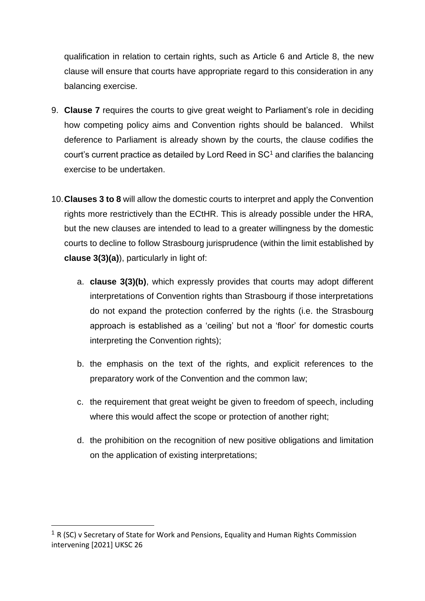qualification in relation to certain rights, such as Article 6 and Article 8, the new clause will ensure that courts have appropriate regard to this consideration in any balancing exercise.

- 9. **Clause 7** requires the courts to give great weight to Parliament's role in deciding how competing policy aims and Convention rights should be balanced. Whilst deference to Parliament is already shown by the courts, the clause codifies the court's current practice as detailed by Lord Reed in  $SC<sup>1</sup>$  and clarifies the balancing exercise to be undertaken.
- 10.**Clauses 3 to 8** will allow the domestic courts to interpret and apply the Convention rights more restrictively than the ECtHR. This is already possible under the HRA, but the new clauses are intended to lead to a greater willingness by the domestic courts to decline to follow Strasbourg jurisprudence (within the limit established by **clause 3(3)(a)**), particularly in light of:
	- a. **clause 3(3)(b)**, which expressly provides that courts may adopt different interpretations of Convention rights than Strasbourg if those interpretations do not expand the protection conferred by the rights (i.e. the Strasbourg approach is established as a 'ceiling' but not a 'floor' for domestic courts interpreting the Convention rights);
	- b. the emphasis on the text of the rights, and explicit references to the preparatory work of the Convention and the common law;
	- c. the requirement that great weight be given to freedom of speech, including where this would affect the scope or protection of another right;
	- d. the prohibition on the recognition of new positive obligations and limitation on the application of existing interpretations;

<sup>&</sup>lt;sup>1</sup> R (SC) v Secretary of State for Work and Pensions, Equality and Human Rights Commission intervening [2021] UKSC 26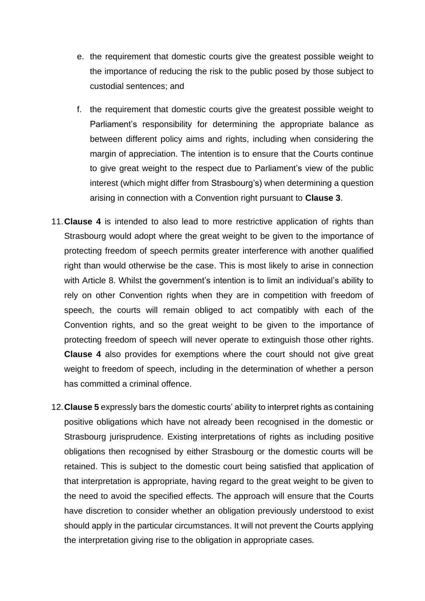- e. the requirement that domestic courts give the greatest possible weight to the importance of reducing the risk to the public posed by those subject to custodial sentences; and
- f. the requirement that domestic courts give the greatest possible weight to Parliament's responsibility for determining the appropriate balance as between different policy aims and rights, including when considering the margin of appreciation. The intention is to ensure that the Courts continue to give great weight to the respect due to Parliament's view of the public interest (which might differ from Strasbourg's) when determining a question arising in connection with a Convention right pursuant to **Clause 3**.
- 11.**Clause 4** is intended to also lead to more restrictive application of rights than Strasbourg would adopt where the great weight to be given to the importance of protecting freedom of speech permits greater interference with another qualified right than would otherwise be the case. This is most likely to arise in connection with Article 8. Whilst the government's intention is to limit an individual's ability to rely on other Convention rights when they are in competition with freedom of speech, the courts will remain obliged to act compatibly with each of the Convention rights, and so the great weight to be given to the importance of protecting freedom of speech will never operate to extinguish those other rights. **Clause 4** also provides for exemptions where the court should not give great weight to freedom of speech, including in the determination of whether a person has committed a criminal offence.
- 12.**Clause 5** expressly bars the domestic courts' ability to interpret rights as containing positive obligations which have not already been recognised in the domestic or Strasbourg jurisprudence. Existing interpretations of rights as including positive obligations then recognised by either Strasbourg or the domestic courts will be retained. This is subject to the domestic court being satisfied that application of that interpretation is appropriate, having regard to the great weight to be given to the need to avoid the specified effects. The approach will ensure that the Courts have discretion to consider whether an obligation previously understood to exist should apply in the particular circumstances. It will not prevent the Courts applying the interpretation giving rise to the obligation in appropriate cases.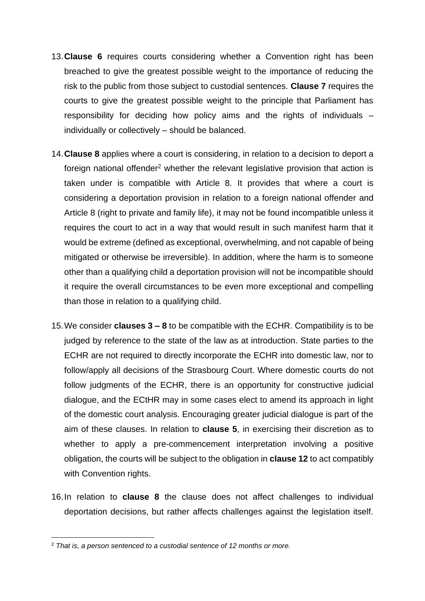- 13.**Clause 6** requires courts considering whether a Convention right has been breached to give the greatest possible weight to the importance of reducing the risk to the public from those subject to custodial sentences. **Clause 7** requires the courts to give the greatest possible weight to the principle that Parliament has responsibility for deciding how policy aims and the rights of individuals – individually or collectively – should be balanced.
- 14.**Clause 8** applies where a court is considering, in relation to a decision to deport a foreign national offender<sup>2</sup> whether the relevant legislative provision that action is taken under is compatible with Article 8. It provides that where a court is considering a deportation provision in relation to a foreign national offender and Article 8 (right to private and family life), it may not be found incompatible unless it requires the court to act in a way that would result in such manifest harm that it would be extreme (defined as exceptional, overwhelming, and not capable of being mitigated or otherwise be irreversible). In addition, where the harm is to someone other than a qualifying child a deportation provision will not be incompatible should it require the overall circumstances to be even more exceptional and compelling than those in relation to a qualifying child.
- 15.We consider **clauses 3 – 8** to be compatible with the ECHR. Compatibility is to be judged by reference to the state of the law as at introduction. State parties to the ECHR are not required to directly incorporate the ECHR into domestic law, nor to follow/apply all decisions of the Strasbourg Court. Where domestic courts do not follow judgments of the ECHR, there is an opportunity for constructive judicial dialogue, and the ECtHR may in some cases elect to amend its approach in light of the domestic court analysis. Encouraging greater judicial dialogue is part of the aim of these clauses. In relation to **clause 5**, in exercising their discretion as to whether to apply a pre-commencement interpretation involving a positive obligation, the courts will be subject to the obligation in **clause 12** to act compatibly with Convention rights.
- 16.In relation to **clause 8** the clause does not affect challenges to individual deportation decisions, but rather affects challenges against the legislation itself.

<sup>2</sup> *That is, a person sentenced to a custodial sentence of 12 months or more.*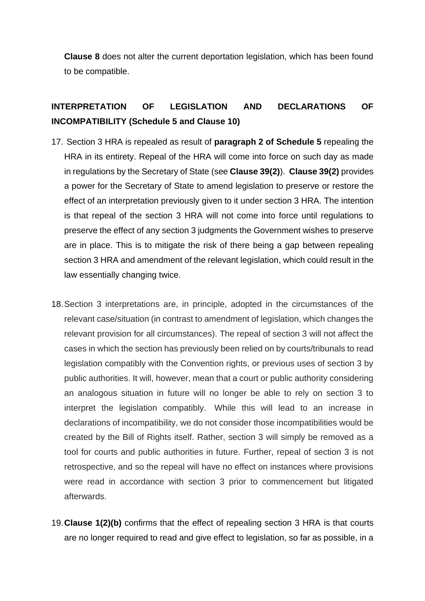**Clause 8** does not alter the current deportation legislation, which has been found to be compatible.

# **INTERPRETATION OF LEGISLATION AND DECLARATIONS OF INCOMPATIBILITY (Schedule 5 and Clause 10)**

- 17. Section 3 HRA is repealed as result of **paragraph 2 of Schedule 5** repealing the HRA in its entirety. Repeal of the HRA will come into force on such day as made in regulations by the Secretary of State (see **Clause 39(2)**). **Clause 39(2)** provides a power for the Secretary of State to amend legislation to preserve or restore the effect of an interpretation previously given to it under section 3 HRA. The intention is that repeal of the section 3 HRA will not come into force until regulations to preserve the effect of any section 3 judgments the Government wishes to preserve are in place. This is to mitigate the risk of there being a gap between repealing section 3 HRA and amendment of the relevant legislation, which could result in the law essentially changing twice.
- 18.Section 3 interpretations are, in principle, adopted in the circumstances of the relevant case/situation (in contrast to amendment of legislation, which changes the relevant provision for all circumstances). The repeal of section 3 will not affect the cases in which the section has previously been relied on by courts/tribunals to read legislation compatibly with the Convention rights, or previous uses of section 3 by public authorities. It will, however, mean that a court or public authority considering an analogous situation in future will no longer be able to rely on section 3 to interpret the legislation compatibly. While this will lead to an increase in declarations of incompatibility, we do not consider those incompatibilities would be created by the Bill of Rights itself. Rather, section 3 will simply be removed as a tool for courts and public authorities in future. Further, repeal of section 3 is not retrospective, and so the repeal will have no effect on instances where provisions were read in accordance with section 3 prior to commencement but litigated afterwards.
- 19.**Clause 1(2)(b)** confirms that the effect of repealing section 3 HRA is that courts are no longer required to read and give effect to legislation, so far as possible, in a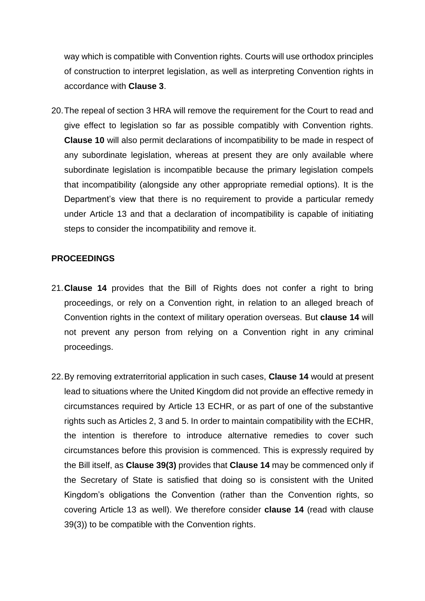way which is compatible with Convention rights. Courts will use orthodox principles of construction to interpret legislation, as well as interpreting Convention rights in accordance with **Clause 3**.

20.The repeal of section 3 HRA will remove the requirement for the Court to read and give effect to legislation so far as possible compatibly with Convention rights. **Clause 10** will also permit declarations of incompatibility to be made in respect of any subordinate legislation, whereas at present they are only available where subordinate legislation is incompatible because the primary legislation compels that incompatibility (alongside any other appropriate remedial options). It is the Department's view that there is no requirement to provide a particular remedy under Article 13 and that a declaration of incompatibility is capable of initiating steps to consider the incompatibility and remove it.

#### **PROCEEDINGS**

- 21.**Clause 14** provides that the Bill of Rights does not confer a right to bring proceedings, or rely on a Convention right, in relation to an alleged breach of Convention rights in the context of military operation overseas. But **clause 14** will not prevent any person from relying on a Convention right in any criminal proceedings.
- 22.By removing extraterritorial application in such cases, **Clause 14** would at present lead to situations where the United Kingdom did not provide an effective remedy in circumstances required by Article 13 ECHR, or as part of one of the substantive rights such as Articles 2, 3 and 5. In order to maintain compatibility with the ECHR, the intention is therefore to introduce alternative remedies to cover such circumstances before this provision is commenced. This is expressly required by the Bill itself, as **Clause 39(3)** provides that **Clause 14** may be commenced only if the Secretary of State is satisfied that doing so is consistent with the United Kingdom's obligations the Convention (rather than the Convention rights, so covering Article 13 as well). We therefore consider **clause 14** (read with clause 39(3)) to be compatible with the Convention rights.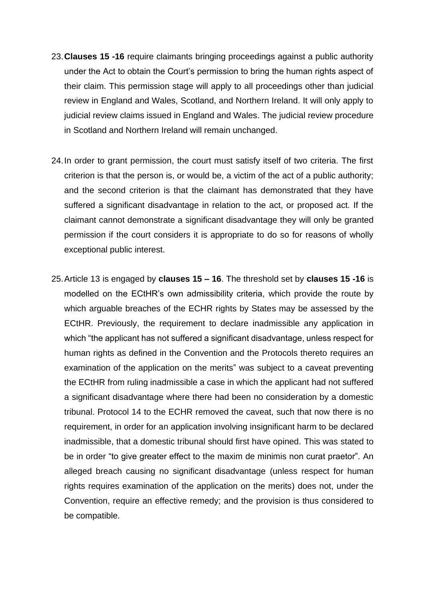- 23.**Clauses 15 -16** require claimants bringing proceedings against a public authority under the Act to obtain the Court's permission to bring the human rights aspect of their claim. This permission stage will apply to all proceedings other than judicial review in England and Wales, Scotland, and Northern Ireland. It will only apply to judicial review claims issued in England and Wales. The judicial review procedure in Scotland and Northern Ireland will remain unchanged.
- 24.In order to grant permission, the court must satisfy itself of two criteria. The first criterion is that the person is, or would be, a victim of the act of a public authority; and the second criterion is that the claimant has demonstrated that they have suffered a significant disadvantage in relation to the act, or proposed act. If the claimant cannot demonstrate a significant disadvantage they will only be granted permission if the court considers it is appropriate to do so for reasons of wholly exceptional public interest.
- 25.Article 13 is engaged by **clauses 15 – 16**. The threshold set by **clauses 15 -16** is modelled on the ECtHR's own admissibility criteria, which provide the route by which arguable breaches of the ECHR rights by States may be assessed by the ECtHR. Previously, the requirement to declare inadmissible any application in which "the applicant has not suffered a significant disadvantage, unless respect for human rights as defined in the Convention and the Protocols thereto requires an examination of the application on the merits" was subject to a caveat preventing the ECtHR from ruling inadmissible a case in which the applicant had not suffered a significant disadvantage where there had been no consideration by a domestic tribunal. Protocol 14 to the ECHR removed the caveat, such that now there is no requirement, in order for an application involving insignificant harm to be declared inadmissible, that a domestic tribunal should first have opined. This was stated to be in order "to give greater effect to the maxim de minimis non curat praetor". An alleged breach causing no significant disadvantage (unless respect for human rights requires examination of the application on the merits) does not, under the Convention, require an effective remedy; and the provision is thus considered to be compatible.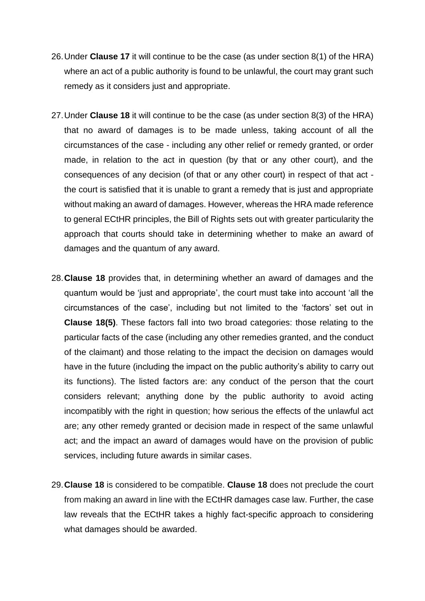- 26.Under **Clause 17** it will continue to be the case (as under section 8(1) of the HRA) where an act of a public authority is found to be unlawful, the court may grant such remedy as it considers just and appropriate.
- 27.Under **Clause 18** it will continue to be the case (as under section 8(3) of the HRA) that no award of damages is to be made unless, taking account of all the circumstances of the case - including any other relief or remedy granted, or order made, in relation to the act in question (by that or any other court), and the consequences of any decision (of that or any other court) in respect of that act the court is satisfied that it is unable to grant a remedy that is just and appropriate without making an award of damages. However, whereas the HRA made reference to general ECtHR principles, the Bill of Rights sets out with greater particularity the approach that courts should take in determining whether to make an award of damages and the quantum of any award.
- 28.**Clause 18** provides that, in determining whether an award of damages and the quantum would be 'just and appropriate', the court must take into account 'all the circumstances of the case', including but not limited to the 'factors' set out in **Clause 18(5)**. These factors fall into two broad categories: those relating to the particular facts of the case (including any other remedies granted, and the conduct of the claimant) and those relating to the impact the decision on damages would have in the future (including the impact on the public authority's ability to carry out its functions). The listed factors are: any conduct of the person that the court considers relevant; anything done by the public authority to avoid acting incompatibly with the right in question; how serious the effects of the unlawful act are; any other remedy granted or decision made in respect of the same unlawful act; and the impact an award of damages would have on the provision of public services, including future awards in similar cases.
- 29.**Clause 18** is considered to be compatible. **Clause 18** does not preclude the court from making an award in line with the ECtHR damages case law. Further, the case law reveals that the ECtHR takes a highly fact-specific approach to considering what damages should be awarded.